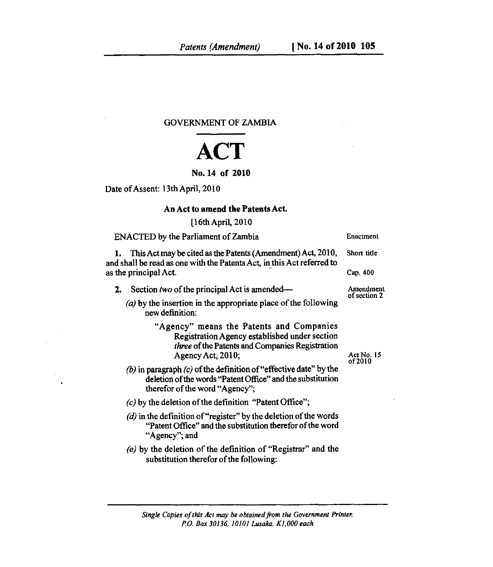GOVERNMENT OF ZAMBIA

## **ACT**

## No. 14 of 2010

Date of Assent: 13th April, 2010

## An Act to amend the **Patents** Act.

## [16th April, 2010

| ENACTED by the Parliament of Zambia                                                                                                                                 | Enactment                                          |
|---------------------------------------------------------------------------------------------------------------------------------------------------------------------|----------------------------------------------------|
| 1. This Act may be cited as the Patents (Amendment) Act, 2010,<br>and shall be read as one with the Patents Act, in this Act referred to<br>as the principal Act.   | Short title                                        |
|                                                                                                                                                                     | Cap. 400                                           |
| Section two of the principal Act is amended—<br>2.                                                                                                                  | Amendment<br>of section 2<br>Act No. 15<br>of 2010 |
| (a) by the insertion in the appropriate place of the following<br>new definition:                                                                                   |                                                    |
| "Agency" means the Patents and Companies<br>Registration Agency established under section<br>three of the Patents and Companies Registration<br>Agency Act, 2010;   |                                                    |
| (b) in paragraph $(c)$ of the definition of "effective date" by the<br>deletion of the words "Patent Office" and the substitution<br>therefor of the word "Agency"; |                                                    |
| $(c)$ by the deletion of the definition "Patent Office";                                                                                                            |                                                    |
| $(d)$ in the definition of "register" by the deletion of the words<br>"Patent Office" and the substitution therefor of the word<br>"Agency"; and                    |                                                    |
| (e) by the deletion of the definition of "Registrar" and the<br>substitution therefor of the following:                                                             |                                                    |

*Single Copies of this Act may be obtained from the Government Printer, P.O. Box 30136, 10101 Lusaka. K1,000 each*